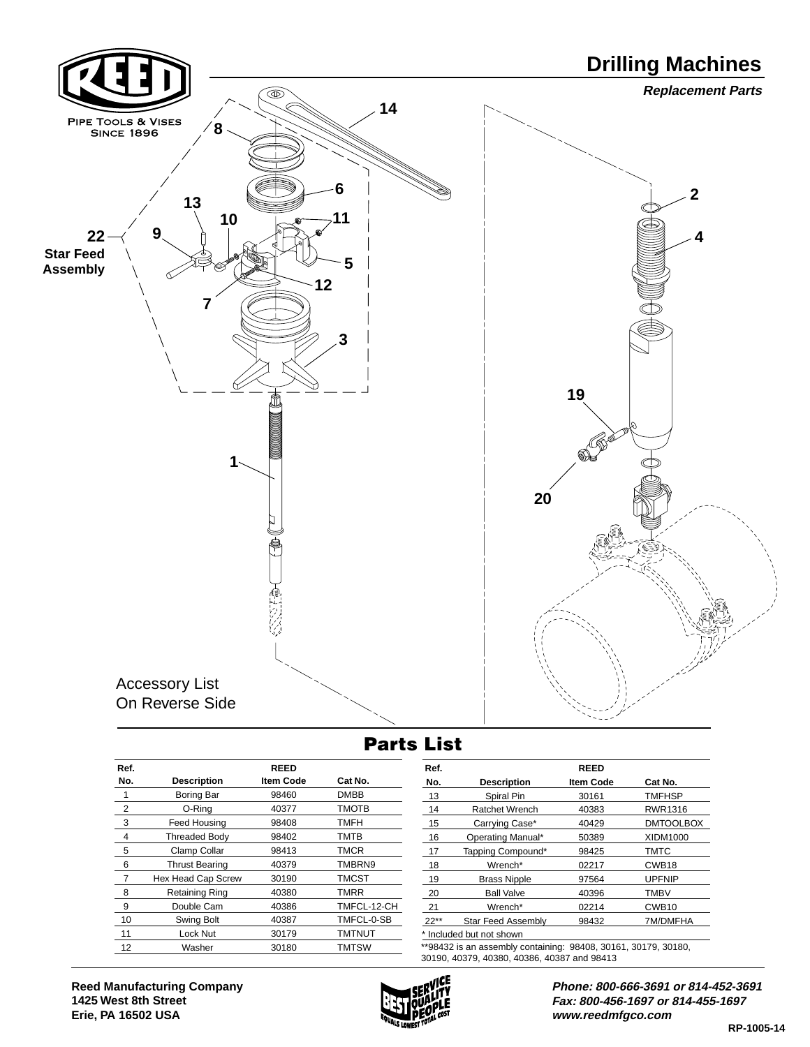

## **Parts List**

| Ref. |                       | <b>REED</b>      |               | Ref.                                                                                                          |                           | <b>REED</b> |                   |
|------|-----------------------|------------------|---------------|---------------------------------------------------------------------------------------------------------------|---------------------------|-------------|-------------------|
| No.  | <b>Description</b>    | <b>Item Code</b> | Cat No.       | No.                                                                                                           | <b>Description</b>        | Item Code   | Cat No.           |
|      | Boring Bar            | 98460            | <b>DMBB</b>   | 13                                                                                                            | Spiral Pin                | 30161       | <b>TMFHSP</b>     |
| 2    | O-Rina                | 40377            | <b>TMOTB</b>  | 14                                                                                                            | Ratchet Wrench            | 40383       | RWR1316           |
| 3    | Feed Housing          | 98408            | <b>TMFH</b>   | 15                                                                                                            | Carrying Case*            | 40429       | <b>DMTOOLBOX</b>  |
| 4    | <b>Threaded Body</b>  | 98402            | TMTB          | 16                                                                                                            | Operating Manual*         | 50389       | <b>XIDM1000</b>   |
| 5    | Clamp Collar          | 98413            | <b>TMCR</b>   | 17                                                                                                            | Tapping Compound*         | 98425       | <b>TMTC</b>       |
| 6    | <b>Thrust Bearing</b> | 40379            | TMBRN9        | 18                                                                                                            | Wrench*                   | 02217       | CWB <sub>18</sub> |
|      | Hex Head Cap Screw    | 30190            | TMCST         | 19                                                                                                            | <b>Brass Nipple</b>       | 97564       | <b>UPFNIP</b>     |
| 8    | <b>Retaining Ring</b> | 40380            | <b>TMRR</b>   | 20                                                                                                            | <b>Ball Valve</b>         | 40396       | <b>TMBV</b>       |
| 9    | Double Cam            | 40386            | TMFCL-12-CH   | 21                                                                                                            | Wrench*                   | 02214       | CWB <sub>10</sub> |
| 10   | Swing Bolt            | 40387            | TMFCL-0-SB    | $22**$                                                                                                        | <b>Star Feed Assembly</b> | 98432       | 7M/DMFHA          |
| 11   | Lock Nut              | 30179            | <b>TMTNUT</b> |                                                                                                               | Included but not shown    |             |                   |
| 12   | Washer                | 30180            | <b>TMTSW</b>  | **98432 is an assembly containing: 98408, 30161, 30179, 30180,<br>30190, 40379, 40380, 40386, 40387 and 98413 |                           |             |                   |
|      |                       |                  |               |                                                                                                               |                           |             |                   |



**Phone: 800-666-3691 or 814-452-3691 Fax: 800-456-1697 or 814-455-1697 www.reedmfgco.com**